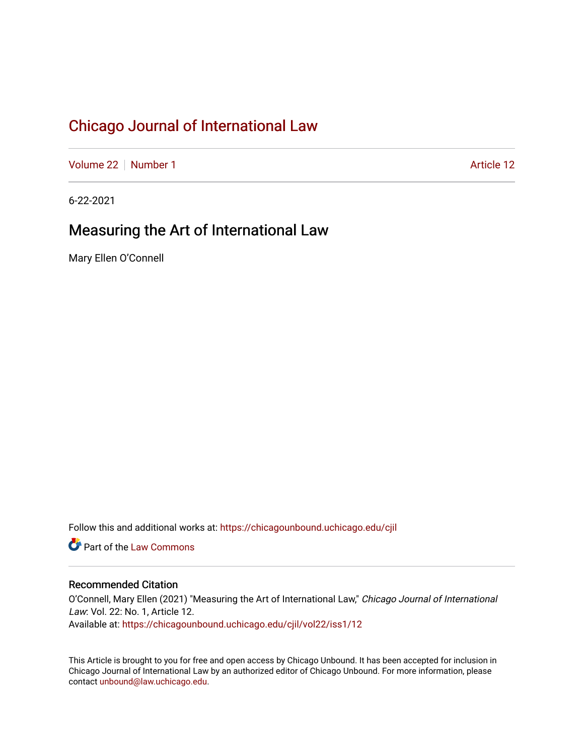[Volume 22](https://chicagounbound.uchicago.edu/cjil/vol22) [Number 1](https://chicagounbound.uchicago.edu/cjil/vol22/iss1) Article 12

6-22-2021

# Measuring the Art of International Law

Mary Ellen O'Connell

Follow this and additional works at: [https://chicagounbound.uchicago.edu/cjil](https://chicagounbound.uchicago.edu/cjil?utm_source=chicagounbound.uchicago.edu%2Fcjil%2Fvol22%2Fiss1%2F12&utm_medium=PDF&utm_campaign=PDFCoverPages)

**C** Part of the [Law Commons](http://network.bepress.com/hgg/discipline/578?utm_source=chicagounbound.uchicago.edu%2Fcjil%2Fvol22%2Fiss1%2F12&utm_medium=PDF&utm_campaign=PDFCoverPages)

## Recommended Citation

O'Connell, Mary Ellen (2021) "Measuring the Art of International Law," Chicago Journal of International Law: Vol. 22: No. 1, Article 12. Available at: [https://chicagounbound.uchicago.edu/cjil/vol22/iss1/12](https://chicagounbound.uchicago.edu/cjil/vol22/iss1/12?utm_source=chicagounbound.uchicago.edu%2Fcjil%2Fvol22%2Fiss1%2F12&utm_medium=PDF&utm_campaign=PDFCoverPages) 

This Article is brought to you for free and open access by Chicago Unbound. It has been accepted for inclusion in Chicago Journal of International Law by an authorized editor of Chicago Unbound. For more information, please contact [unbound@law.uchicago.edu](mailto:unbound@law.uchicago.edu).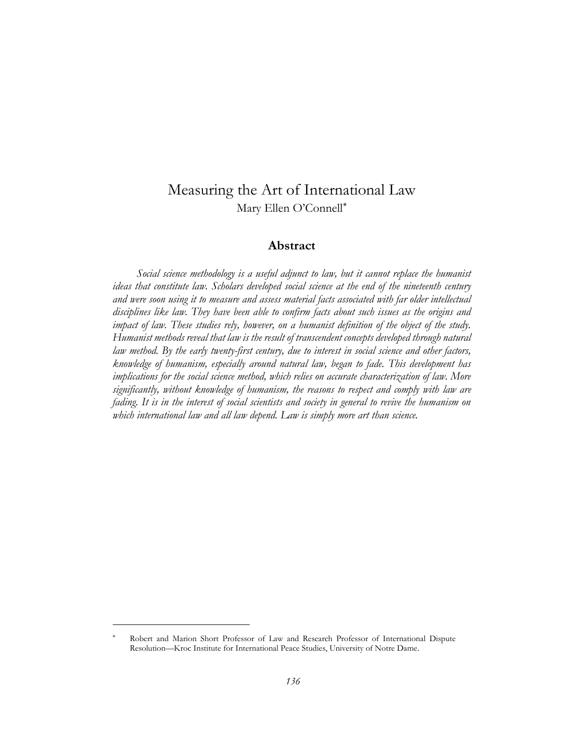# Measuring the Art of International Law Mary Ellen O'Connell

## **Abstract**

*Social science methodology is a useful adjunct to law, but it cannot replace the humanist ideas that constitute law. Scholars developed social science at the end of the nineteenth century and were soon using it to measure and assess material facts associated with far older intellectual disciplines like law. They have been able to confirm facts about such issues as the origins and impact of law. These studies rely, however, on a humanist definition of the object of the study. Humanist methods reveal that law is the result of transcendent concepts developed through natural law method. By the early twenty-first century, due to interest in social science and other factors, knowledge of humanism, especially around natural law, began to fade. This development has implications for the social science method, which relies on accurate characterization of law. More significantly, without knowledge of humanism, the reasons to respect and comply with law are fading. It is in the interest of social scientists and society in general to revive the humanism on which international law and all law depend. Law is simply more art than science.*

Robert and Marion Short Professor of Law and Research Professor of International Dispute Resolution—Kroc Institute for International Peace Studies, University of Notre Dame.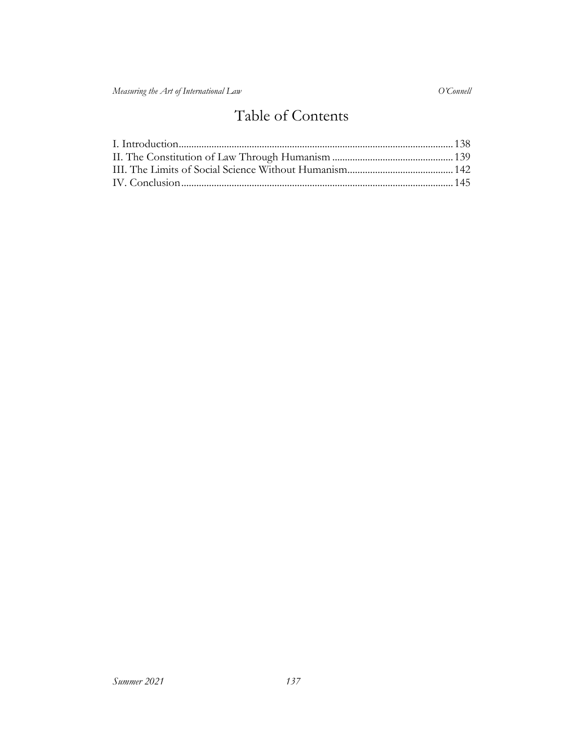# Table of Contents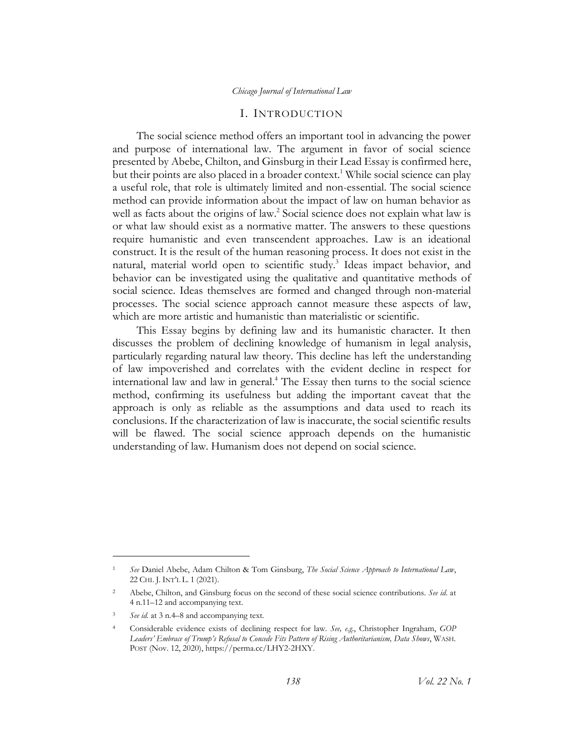#### <span id="page-3-1"></span>I. INTRODUCTION

<span id="page-3-0"></span>The social science method offers an important tool in advancing the power and purpose of international law. The argument in favor of social science presented by Abebe, Chilton, and Ginsburg in their Lead Essay is confirmed here, but their points are also placed in a broader context.<sup>1</sup> While social science can play a useful role, that role is ultimately limited and non-essential. The social science method can provide information about the impact of law on human behavior as well as facts about the origins of law.<sup>2</sup> Social science does not explain what law is or what law should exist as a normative matter. The answers to these questions require humanistic and even transcendent approaches. Law is an ideational construct. It is the result of the human reasoning process. It does not exist in the natural, material world open to scientific study.<sup>3</sup> Ideas impact behavior, and behavior can be investigated using the qualitative and quantitative methods of social science. Ideas themselves are formed and changed through non-material processes. The social science approach cannot measure these aspects of law, which are more artistic and humanistic than materialistic or scientific.

This Essay begins by defining law and its humanistic character. It then discusses the problem of declining knowledge of humanism in legal analysis, particularly regarding natural law theory. This decline has left the understanding of law impoverished and correlates with the evident decline in respect for international law and law in general. <sup>4</sup> The Essay then turns to the social science method, confirming its usefulness but adding the important caveat that the approach is only as reliable as the assumptions and data used to reach its conclusions. If the characterization of law is inaccurate, the social scientific results will be flawed. The social science approach depends on the humanistic understanding of law. Humanism does not depend on social science.

<sup>1</sup> *See* Daniel Abebe, Adam Chilton & Tom Ginsburg, *The Social Science Approach to International Law*, 22 CHI. J. INT'L L. 1 (2021).

<sup>2</sup> Abebe, Chilton, and Ginsburg focus on the second of these social science contributions. *See id*. at 4 n.11–12 and accompanying text.

See id. at 3 n.4–8 and accompanying text.

<sup>4</sup> Considerable evidence exists of declining respect for law. *See, e.g*., Christopher Ingraham, *GOP Leaders' Embrace of Trump's Refusal to Concede Fits Pattern of Rising Authoritarianism, Data Shows*, WASH. POST (Nov. 12, 2020), https://perma.cc/LHY2-2HXY.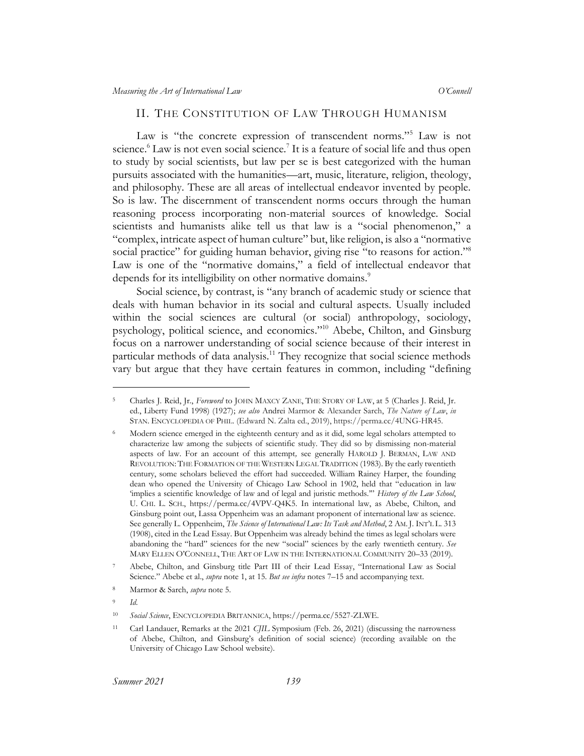#### <span id="page-4-1"></span>II. THE CONSTITUTION OF LAW THROUGH HUMANISM

<span id="page-4-2"></span><span id="page-4-0"></span>Law is "the concrete expression of transcendent norms."<sup>5</sup> Law is not science.<sup>6</sup> Law is not even social science.<sup>7</sup> It is a feature of social life and thus open to study by social scientists, but law per se is best categorized with the human pursuits associated with the humanities—art, music, literature, religion, theology, and philosophy. These are all areas of intellectual endeavor invented by people. So is law. The discernment of transcendent norms occurs through the human reasoning process incorporating non-material sources of knowledge. Social scientists and humanists alike tell us that law is a "social phenomenon," a "complex, intricate aspect of human culture" but, like religion, is also a "normative social practice" for guiding human behavior, giving rise "to reasons for action."<sup>8</sup> Law is one of the "normative domains," a field of intellectual endeavor that depends for its intelligibility on other normative domains.<sup>9</sup>

Social science, by contrast, is "any branch of academic study or science that deals with human behavior in its social and cultural aspects. Usually included within the social sciences are cultural (or social) anthropology, sociology, psychology, political science, and economics." <sup>10</sup> Abebe, Chilton, and Ginsburg focus on a narrower understanding of social science because of their interest in particular methods of data analysis.<sup>11</sup> They recognize that social science methods vary but argue that they have certain features in common, including "defining

<sup>5</sup> Charles J. Reid, Jr., *Foreword* to JOHN MAXCY ZANE, THE STORY OF LAW, at 5 (Charles J. Reid, Jr. ed., Liberty Fund 1998) (1927); *see also* Andrei Marmor & Alexander Sarch, *The Nature of Law*, *in* STAN. ENCYCLOPEDIA OF PHIL. (Edward N. Zalta ed., 2019), https://perma.cc/4UNG-HR45.

<sup>6</sup> Modern science emerged in the eighteenth century and as it did, some legal scholars attempted to characterize law among the subjects of scientific study. They did so by dismissing non-material aspects of law. For an account of this attempt*,* see generally HAROLD J. BERMAN, LAW AND REVOLUTION: THE FORMATION OF THE WESTERN LEGAL TRADITION (1983). By the early twentieth century, some scholars believed the effort had succeeded. William Rainey Harper, the founding dean who opened the University of Chicago Law School in 1902, held that "education in law 'implies a scientific knowledge of law and of legal and juristic methods.'" *History of the Law School*, U. CHI. L. SCH., https://perma.cc/4VPV-Q4K5. In international law, as Abebe, Chilton, and Ginsburg point out, Lassa Oppenheim was an adamant proponent of international law as science. See generally L. Oppenheim, *The Science of International Law: Its Task and Method*, 2 AM. J. INT'L L. 313 (1908), cited in the Lead Essay. But Oppenheim was already behind the times as legal scholars were abandoning the "hard" sciences for the new "social" sciences by the early twentieth century. *See*  MARY ELLEN O'CONNELL, THE ART OF LAW IN THE INTERNATIONAL COMMUNITY 20–33 (2019).

<sup>7</sup> Abebe, Chilton, and Ginsburg title Part III of their Lead Essay, "International Law as Social Science." Abebe et al., *supra* not[e 1,](#page-3-1) at 15. *But see infra* notes 7–15 and accompanying text.

<sup>8</sup> Marmor & Sarch, *supra* note [5.](#page-4-1)

<sup>9</sup> *Id.*

<sup>10</sup> *Social Science*, ENCYCLOPEDIA BRITANNICA, https://perma.cc/5527-ZLWE.

<sup>11</sup> Carl Landauer, Remarks at the 2021 *CJIL* Symposium (Feb. 26, 2021) (discussing the narrowness of Abebe, Chilton, and Ginsburg's definition of social science) (recording available on the University of Chicago Law School website).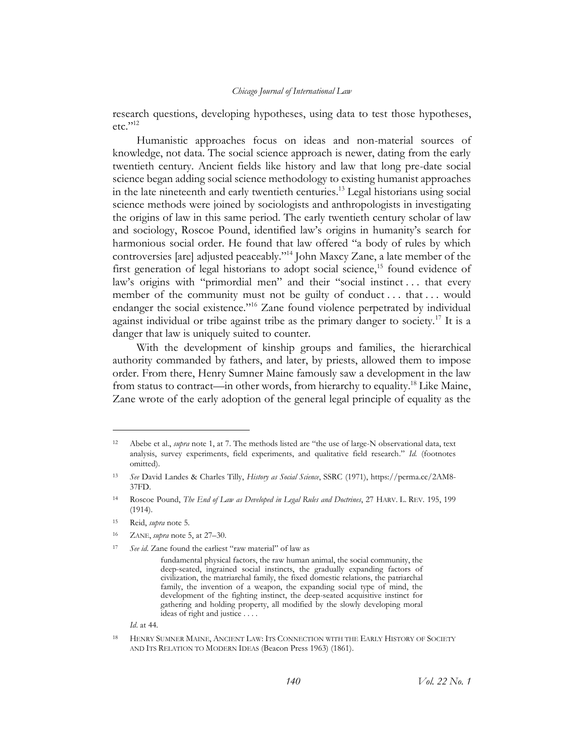research questions, developing hypotheses, using data to test those hypotheses,  $etc.$ <sup>"12</sup>

<span id="page-5-0"></span>Humanistic approaches focus on ideas and non-material sources of knowledge, not data. The social science approach is newer, dating from the early twentieth century. Ancient fields like history and law that long pre-date social science began adding social science methodology to existing humanist approaches in the late nineteenth and early twentieth centuries.<sup>13</sup> Legal historians using social science methods were joined by sociologists and anthropologists in investigating the origins of law in this same period. The early twentieth century scholar of law and sociology, Roscoe Pound, identified law's origins in humanity's search for harmonious social order. He found that law offered "a body of rules by which controversies [are] adjusted peaceably."<sup>14</sup> John Maxcy Zane, a late member of the first generation of legal historians to adopt social science,<sup>15</sup> found evidence of law's origins with "primordial men" and their "social instinct . . . that every member of the community must not be guilty of conduct ... that ... would endanger the social existence."<sup>16</sup> Zane found violence perpetrated by individual against individual or tribe against tribe as the primary danger to society.<sup>17</sup> It is a danger that law is uniquely suited to counter.

With the development of kinship groups and families, the hierarchical authority commanded by fathers, and later, by priests, allowed them to impose order. From there, Henry Sumner Maine famously saw a development in the law from status to contract—in other words, from hierarchy to equality.<sup>18</sup> Like Maine, Zane wrote of the early adoption of the general legal principle of equality as the

*Id*. at 44.

<sup>12</sup> Abebe et al., *supra* note [1,](#page-3-1) at 7. The methods listed are "the use of large-N observational data, text analysis, survey experiments, field experiments, and qualitative field research." *Id.* (footnotes omitted).

<sup>13</sup> *See* David Landes & Charles Tilly, *History as Social Science*, SSRC (1971), https://perma.cc/2AM8- 37FD.

<sup>14</sup> Roscoe Pound, *The End of Law as Developed in Legal Rules and Doctrines*, 27 HARV. L. REV. 195, 199 (1914).

<sup>15</sup> Reid, *supra* note [5.](#page-4-1)

<sup>16</sup> ZANE, *supra* note [5,](#page-4-1) at 27–30.

<sup>17</sup> *See id*. Zane found the earliest "raw material" of law as

fundamental physical factors, the raw human animal, the social community, the deep-seated, ingrained social instincts, the gradually expanding factors of civilization, the matriarchal family, the fixed domestic relations, the patriarchal family, the invention of a weapon, the expanding social type of mind, the development of the fighting instinct, the deep-seated acquisitive instinct for gathering and holding property, all modified by the slowly developing moral ideas of right and justice . . . .

<sup>18</sup> HENRY SUMNER MAINE, ANCIENT LAW: ITS CONNECTION WITH THE EARLY HISTORY OF SOCIETY AND ITS RELATION TO MODERN IDEAS (Beacon Press 1963) (1861).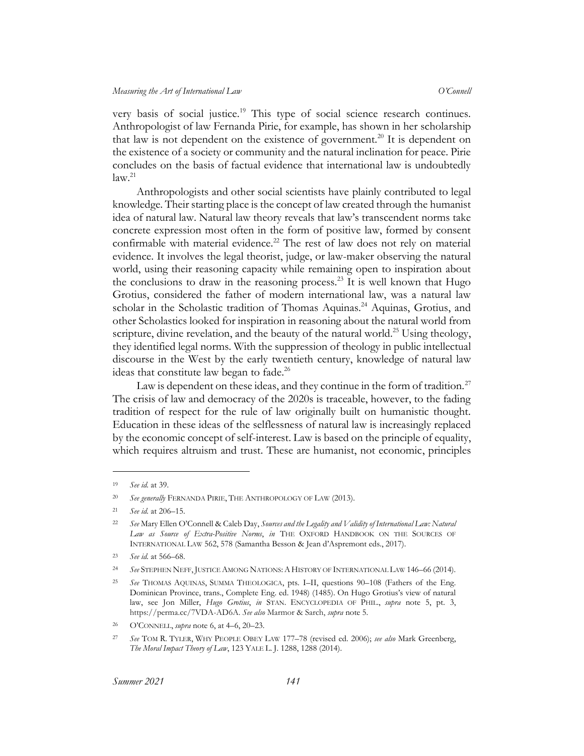very basis of social justice.<sup>19</sup> This type of social science research continues. Anthropologist of law Fernanda Pirie, for example, has shown in her scholarship that law is not dependent on the existence of government.<sup>20</sup> It is dependent on the existence of a society or community and the natural inclination for peace. Pirie concludes on the basis of factual evidence that international law is undoubtedly  $law.<sup>21</sup>$ 

<span id="page-6-0"></span>Anthropologists and other social scientists have plainly contributed to legal knowledge. Their starting place is the concept of law created through the humanist idea of natural law. Natural law theory reveals that law's transcendent norms take concrete expression most often in the form of positive law, formed by consent confirmable with material evidence.<sup>22</sup> The rest of law does not rely on material evidence. It involves the legal theorist, judge, or law-maker observing the natural world, using their reasoning capacity while remaining open to inspiration about the conclusions to draw in the reasoning process.<sup>23</sup> It is well known that Hugo Grotius, considered the father of modern international law, was a natural law scholar in the Scholastic tradition of Thomas Aquinas.<sup>24</sup> Aquinas, Grotius, and other Scholastics looked for inspiration in reasoning about the natural world from scripture, divine revelation, and the beauty of the natural world.<sup>25</sup> Using theology, they identified legal norms. With the suppression of theology in public intellectual discourse in the West by the early twentieth century, knowledge of natural law ideas that constitute law began to fade.<sup>26</sup>

Law is dependent on these ideas, and they continue in the form of tradition.<sup>27</sup> The crisis of law and democracy of the 2020s is traceable, however, to the fading tradition of respect for the rule of law originally built on humanistic thought. Education in these ideas of the selflessness of natural law is increasingly replaced by the economic concept of self-interest. Law is based on the principle of equality, which requires altruism and trust. These are humanist, not economic, principles

<sup>19</sup> *See id.* at 39.

<sup>20</sup> *See generally* FERNANDA PIRIE, THE ANTHROPOLOGY OF LAW (2013).

<sup>21</sup> *See id.* at 206–15.

<sup>22</sup> *See* Mary Ellen O'Connell & Caleb Day, *Sources and the Legality and Validity of International Law: Natural Law as Source of Extra-Positive Norms*, *in* THE OXFORD HANDBOOK ON THE SOURCES OF INTERNATIONAL LAW 562, 578 (Samantha Besson & Jean d'Aspremont eds., 2017).

<sup>23</sup> *See id.* at 566–68.

<sup>24</sup> *See* STEPHEN NEFF,JUSTICE AMONG NATIONS:AHISTORY OF INTERNATIONAL LAW 146–66 (2014).

<sup>25</sup> *See* THOMAS AQUINAS, SUMMA THEOLOGICA, pts. I–II, questions 90–108 (Fathers of the Eng. Dominican Province, trans., Complete Eng. ed. 1948) (1485). On Hugo Grotius's view of natural law, see Jon Miller, *Hugo Grotius*, *in* STAN. ENCYCLOPEDIA OF PHIL., *supra* note [5,](#page-4-1) pt. 3, https://perma.cc/7VDA-AD6A. *See also* Marmor & Sarch, *supra* note [5.](#page-4-1)

<sup>26</sup> O'CONNELL, *supra* note [6,](#page-4-2) at 4–6, 20–23.

<sup>27</sup> *See* TOM R. TYLER, WHY PEOPLE OBEY LAW 177–78 (revised ed. 2006); *see also* Mark Greenberg, *The Moral Impact Theory of Law*, 123 YALE L. J. 1288, 1288 (2014).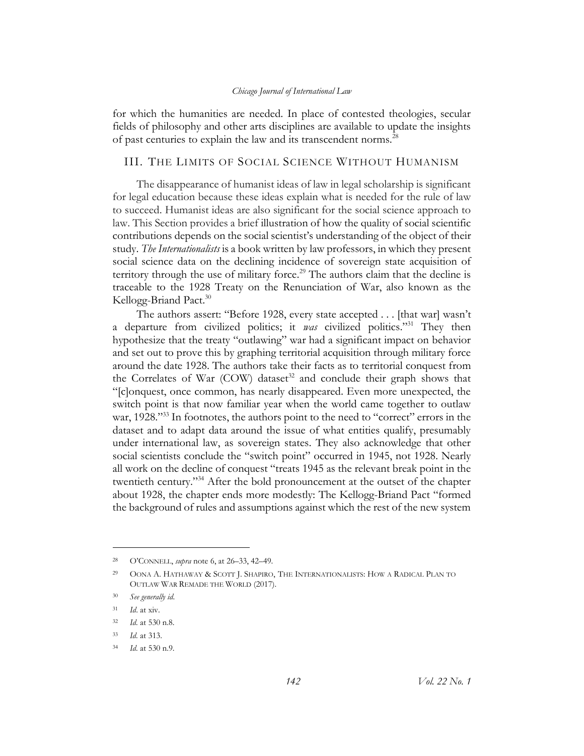for which the humanities are needed. In place of contested theologies, secular fields of philosophy and other arts disciplines are available to update the insights of past centuries to explain the law and its transcendent norms.<sup>28</sup>

### <span id="page-7-0"></span>III. THE LIMITS OF SOCIAL SCIENCE WITHOUT HUMANISM

The disappearance of humanist ideas of law in legal scholarship is significant for legal education because these ideas explain what is needed for the rule of law to succeed. Humanist ideas are also significant for the social science approach to law. This Section provides a brief illustration of how the quality of social scientific contributions depends on the social scientist's understanding of the object of their study. *The Internationalists* is a book written by law professors, in which they present social science data on the declining incidence of sovereign state acquisition of territory through the use of military force.<sup>29</sup> The authors claim that the decline is traceable to the 1928 Treaty on the Renunciation of War, also known as the Kellogg-Briand Pact.<sup>30</sup>

<span id="page-7-1"></span>The authors assert: "Before 1928, every state accepted . . . [that war] wasn't a departure from civilized politics; it *was* civilized politics." <sup>31</sup> They then hypothesize that the treaty "outlawing" war had a significant impact on behavior and set out to prove this by graphing territorial acquisition through military force around the date 1928. The authors take their facts as to territorial conquest from the Correlates of War (COW) dataset<sup>32</sup> and conclude their graph shows that "[c]onquest, once common, has nearly disappeared. Even more unexpected, the switch point is that now familiar year when the world came together to outlaw war, 1928."<sup>33</sup> In footnotes, the authors point to the need to "correct" errors in the dataset and to adapt data around the issue of what entities qualify, presumably under international law, as sovereign states. They also acknowledge that other social scientists conclude the "switch point" occurred in 1945, not 1928. Nearly all work on the decline of conquest "treats 1945 as the relevant break point in the twentieth century." <sup>34</sup> After the bold pronouncement at the outset of the chapter about 1928, the chapter ends more modestly: The Kellogg-Briand Pact "formed the background of rules and assumptions against which the rest of the new system

<sup>28</sup> O'CONNELL, *supra* not[e 6,](#page-4-2) at 26–33, 42–49.

<sup>29</sup> OONA A. HATHAWAY & SCOTT J. SHAPIRO, THE INTERNATIONALISTS: HOW A RADICAL PLAN TO OUTLAW WAR REMADE THE WORLD (2017).

<sup>30</sup> *See generally id*.

<sup>31</sup> *Id*. at xiv.

<sup>32</sup> *Id.* at 530 n.8.

<sup>33</sup> *Id.* at 313.

<sup>34</sup> *Id.* at 530 n.9.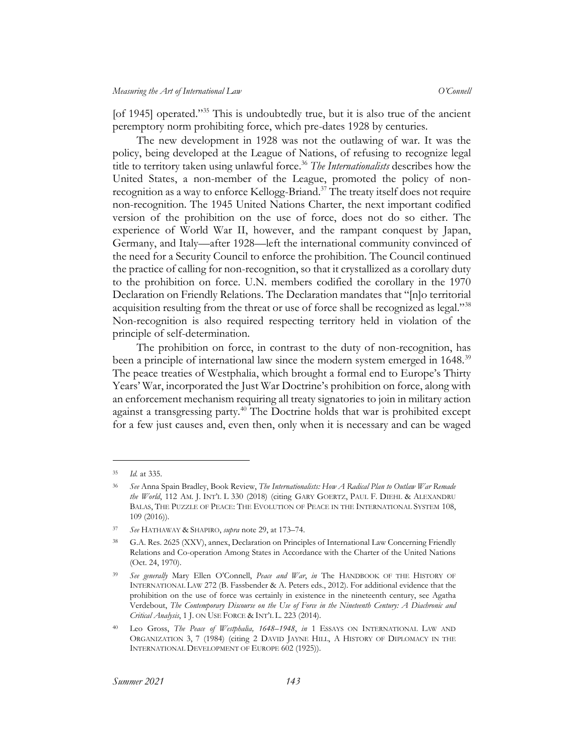[of 1945] operated."<sup>35</sup> This is undoubtedly true, but it is also true of the ancient peremptory norm prohibiting force, which pre-dates 1928 by centuries.

The new development in 1928 was not the outlawing of war. It was the policy, being developed at the League of Nations, of refusing to recognize legal title to territory taken using unlawful force. <sup>36</sup> *The Internationalists* describes how the United States, a non-member of the League, promoted the policy of nonrecognition as a way to enforce Kellogg-Briand.<sup>37</sup> The treaty itself does not require non-recognition. The 1945 United Nations Charter, the next important codified version of the prohibition on the use of force, does not do so either. The experience of World War II, however, and the rampant conquest by Japan, Germany, and Italy—after 1928—left the international community convinced of the need for a Security Council to enforce the prohibition. The Council continued the practice of calling for non-recognition, so that it crystallized as a corollary duty to the prohibition on force. U.N. members codified the corollary in the 1970 Declaration on Friendly Relations. The Declaration mandates that "[n]o territorial acquisition resulting from the threat or use of force shall be recognized as legal."<sup>38</sup> Non-recognition is also required respecting territory held in violation of the principle of self-determination.

The prohibition on force, in contrast to the duty of non-recognition, has been a principle of international law since the modern system emerged in 1648.<sup>39</sup> The peace treaties of Westphalia, which brought a formal end to Europe's Thirty Years' War, incorporated the Just War Doctrine's prohibition on force, along with an enforcement mechanism requiring all treaty signatories to join in military action against a transgressing party.<sup>40</sup> The Doctrine holds that war is prohibited except for a few just causes and, even then, only when it is necessary and can be waged

<sup>35</sup> *Id.* at 335.

<sup>36</sup> *See* Anna Spain Bradley, Book Review, *The Internationalists: How A Radical Plan to Outlaw War Remade the World*, 112 AM. J. INT'L L 330 (2018) (citing GARY GOERTZ, PAUL F. DIEHL & ALEXANDRU BALAS, THE PUZZLE OF PEACE: THE EVOLUTION OF PEACE IN THE INTERNATIONAL SYSTEM 108, 109 (2016)).

<sup>37</sup> *See* HATHAWAY & SHAPIRO, *supra* note [29,](#page-7-1) at 173–74.

<sup>38</sup> G.A. Res. 2625 (XXV), annex, Declaration on Principles of International Law Concerning Friendly Relations and Co-operation Among States in Accordance with the Charter of the United Nations (Oct. 24, 1970).

<sup>39</sup> *See generally* Mary Ellen O'Connell, *Peace and War*, *in* The HANDBOOK OF THE HISTORY OF INTERNATIONAL LAW 272 (B. Fassbender & A. Peters eds., 2012). For additional evidence that the prohibition on the use of force was certainly in existence in the nineteenth century, see Agatha Verdebout, *The Contemporary Discourse on the Use of Force in the Nineteenth Century: A Diachronic and Critical Analysis*, 1 J. ON USE FORCE & INT'L L. 223 (2014).

<sup>40</sup> Leo Gross, *The Peace of Westphalia, 1648–1948*, *in* 1 ESSAYS ON INTERNATIONAL LAW AND ORGANIZATION 3, 7 (1984) (citing 2 DAVID JAYNE HILL, A HISTORY OF DIPLOMACY IN THE INTERNATIONAL DEVELOPMENT OF EUROPE 602 (1925)).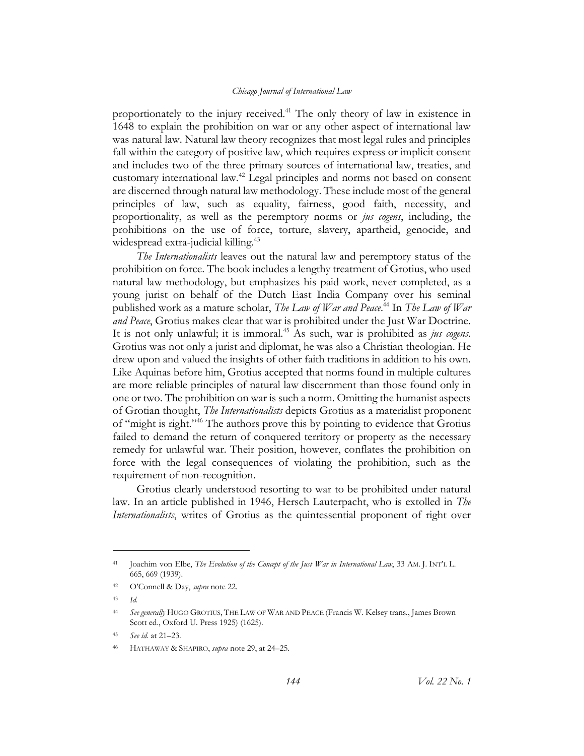proportionately to the injury received.<sup>41</sup> The only theory of law in existence in 1648 to explain the prohibition on war or any other aspect of international law was natural law. Natural law theory recognizes that most legal rules and principles fall within the category of positive law, which requires express or implicit consent and includes two of the three primary sources of international law, treaties, and customary international law.<sup>42</sup> Legal principles and norms not based on consent are discerned through natural law methodology. These include most of the general principles of law, such as equality, fairness, good faith, necessity, and proportionality, as well as the peremptory norms or *jus cogens*, including, the prohibitions on the use of force, torture, slavery, apartheid, genocide, and widespread extra-judicial killing.<sup>43</sup>

*The Internationalists* leaves out the natural law and peremptory status of the prohibition on force. The book includes a lengthy treatment of Grotius, who used natural law methodology, but emphasizes his paid work, never completed, as a young jurist on behalf of the Dutch East India Company over his seminal published work as a mature scholar, *The Law of War and Peace*. <sup>44</sup> In *The Law of War and Peace*, Grotius makes clear that war is prohibited under the Just War Doctrine. It is not only unlawful; it is immoral.<sup>45</sup> As such, war is prohibited as *jus cogens*. Grotius was not only a jurist and diplomat, he was also a Christian theologian. He drew upon and valued the insights of other faith traditions in addition to his own. Like Aquinas before him, Grotius accepted that norms found in multiple cultures are more reliable principles of natural law discernment than those found only in one or two. The prohibition on war is such a norm. Omitting the humanist aspects of Grotian thought, *The Internationalists* depicts Grotius as a materialist proponent of "might is right." <sup>46</sup> The authors prove this by pointing to evidence that Grotius failed to demand the return of conquered territory or property as the necessary remedy for unlawful war. Their position, however, conflates the prohibition on force with the legal consequences of violating the prohibition, such as the requirement of non-recognition.

Grotius clearly understood resorting to war to be prohibited under natural law. In an article published in 1946, Hersch Lauterpacht, who is extolled in *The Internationalists*, writes of Grotius as the quintessential proponent of right over

<sup>41</sup> Joachim von Elbe, *The Evolution of the Concept of the Just War in International Law*, 33 AM. J. INT'L L. 665, 669 (1939).

<sup>42</sup> O'Connell & Day, *supra* not[e 22.](#page-6-0)

<sup>43</sup> *Id.*

<sup>44</sup> *See generally* HUGO GROTIUS, THE LAW OF WAR AND PEACE (Francis W. Kelsey trans., James Brown Scott ed., Oxford U. Press 1925) (1625).

<sup>45</sup> *See id.* at 21–23.

<sup>46</sup> HATHAWAY & SHAPIRO, *supra* note [29,](#page-7-1) at 24–25.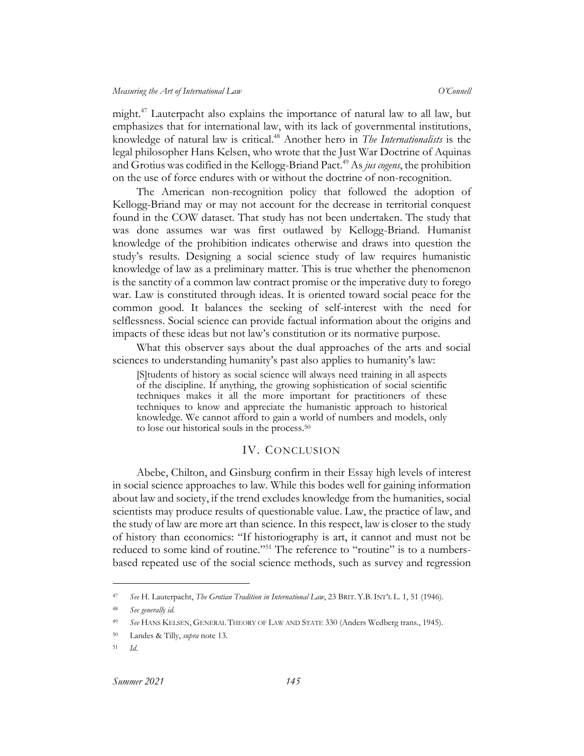might.<sup>47</sup> Lauterpacht also explains the importance of natural law to all law, but emphasizes that for international law, with its lack of governmental institutions, knowledge of natural law is critical. <sup>48</sup> Another hero in *The Internationalists* is the legal philosopher Hans Kelsen, who wrote that the Just War Doctrine of Aquinas and Grotius was codified in the Kellogg-Briand Pact.<sup>49</sup> As *jus cogens*, the prohibition on the use of force endures with or without the doctrine of non-recognition.

The American non-recognition policy that followed the adoption of Kellogg-Briand may or may not account for the decrease in territorial conquest found in the COW dataset. That study has not been undertaken. The study that was done assumes war was first outlawed by Kellogg-Briand. Humanist knowledge of the prohibition indicates otherwise and draws into question the study's results. Designing a social science study of law requires humanistic knowledge of law as a preliminary matter. This is true whether the phenomenon is the sanctity of a common law contract promise or the imperative duty to forego war. Law is constituted through ideas. It is oriented toward social peace for the common good. It balances the seeking of self-interest with the need for selflessness. Social science can provide factual information about the origins and impacts of these ideas but not law's constitution or its normative purpose.

What this observer says about the dual approaches of the arts and social sciences to understanding humanity's past also applies to humanity's law:

[S]tudents of history as social science will always need training in all aspects of the discipline. If anything, the growing sophistication of social scientific techniques makes it all the more important for practitioners of these techniques to know and appreciate the humanistic approach to historical knowledge. We cannot afford to gain a world of numbers and models, only to lose our historical souls in the process.<sup>50</sup>

#### IV. CONCLUSION

<span id="page-10-0"></span>Abebe, Chilton, and Ginsburg confirm in their Essay high levels of interest in social science approaches to law. While this bodes well for gaining information about law and society, if the trend excludes knowledge from the humanities, social scientists may produce results of questionable value. Law, the practice of law, and the study of law are more art than science. In this respect, law is closer to the study of history than economics: "If historiography is art, it cannot and must not be reduced to some kind of routine."<sup>51</sup> The reference to "routine" is to a numbersbased repeated use of the social science methods, such as survey and regression

<sup>47</sup> *See* H. Lauterpacht, *The Grotian Tradition in International Law*, 23 BRIT. Y.B. INT'L L. 1, 51 (1946).

<sup>48</sup> *See generally id.*

<sup>49</sup> *See* HANS KELSEN, GENERAL THEORY OF LAW AND STATE 330 (Anders Wedberg trans., 1945).

<sup>50</sup> Landes & Tilly, *supra* not[e 13.](#page-5-0)

<sup>51</sup> *Id.*